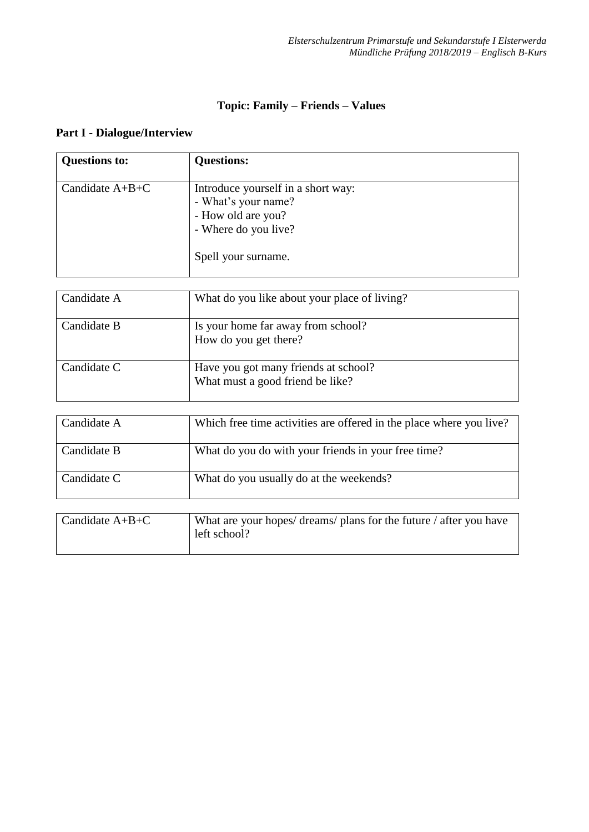## **Part I - Dialogue/Interview**

| <b>Questions to:</b> | <b>Questions:</b>                                                                                                              |
|----------------------|--------------------------------------------------------------------------------------------------------------------------------|
| Candidate $A+B+C$    | Introduce yourself in a short way:<br>- What's your name?<br>- How old are you?<br>- Where do you live?<br>Spell your surname. |

| Candidate A | What do you like about your place of living?                             |
|-------------|--------------------------------------------------------------------------|
| Candidate B | Is your home far away from school?<br>How do you get there?              |
| Candidate C | Have you got many friends at school?<br>What must a good friend be like? |

| Candidate A | Which free time activities are offered in the place where you live? |
|-------------|---------------------------------------------------------------------|
| Candidate B | What do you do with your friends in your free time?                 |
| Candidate C | What do you usually do at the weekends?                             |

| Candidate $A+B+C$ | What are your hopes/ dreams/ plans for the future / after you have |
|-------------------|--------------------------------------------------------------------|
|                   | left school?                                                       |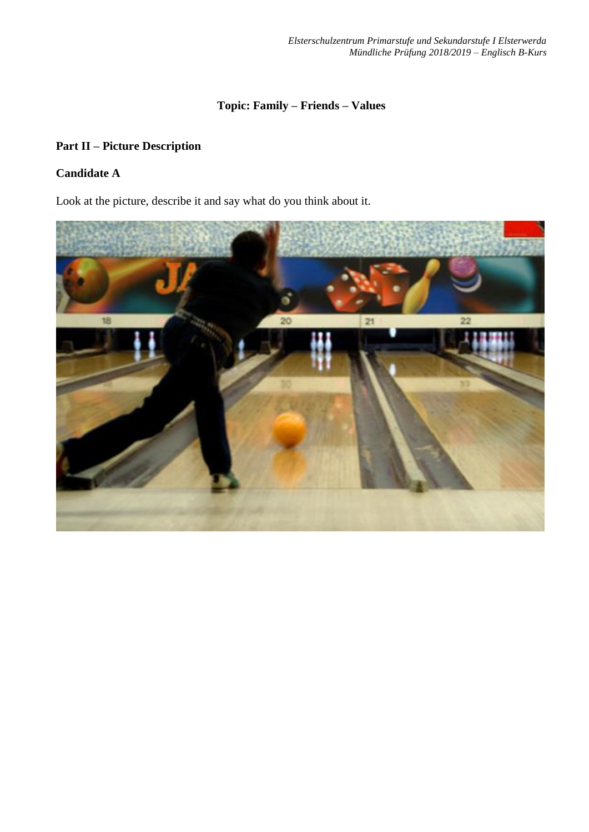### **Part II – Picture Description**

## **Candidate A**

Look at the picture, describe it and say what do you think about it.

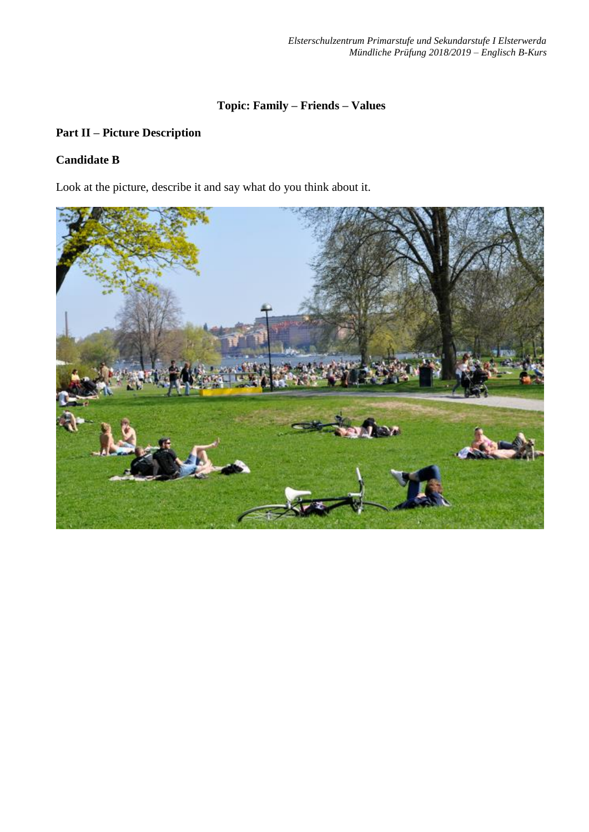## **Part II – Picture Description**

#### **Candidate B**

Look at the picture, describe it and say what do you think about it.

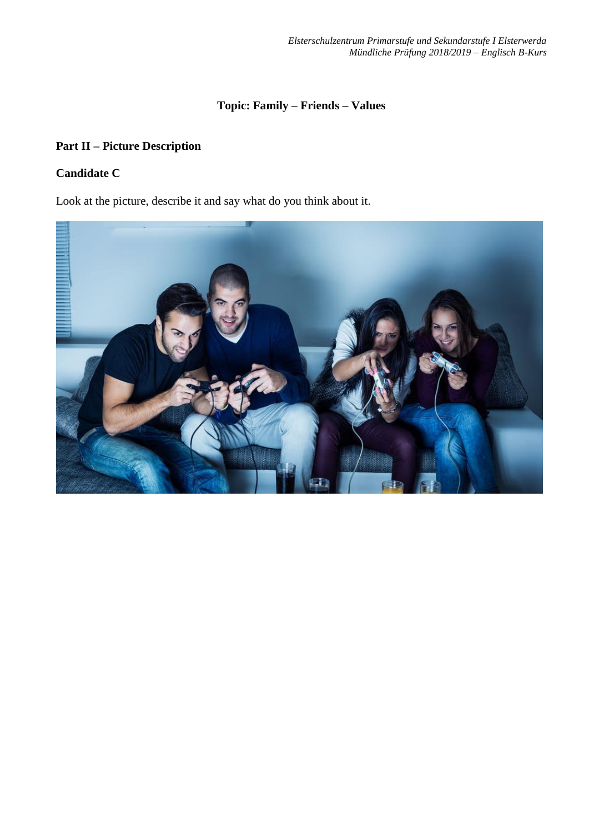## **Part II – Picture Description**

## **Candidate C**

Look at the picture, describe it and say what do you think about it.